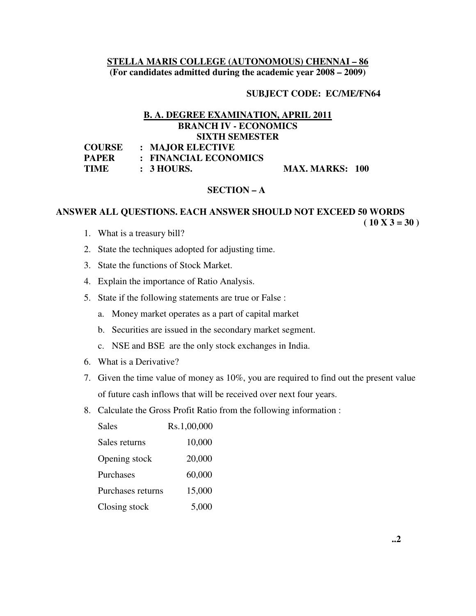## **STELLA MARIS COLLEGE (AUTONOMOUS) CHENNAI – 86 (For candidates admitted during the academic year 2008 – 2009)**

### **SUBJECT CODE: EC/ME/FN64**

# **B. A. DEGREE EXAMINATION, APRIL 2011 BRANCH IV - ECONOMICS SIXTH SEMESTER**

| <b>COURSE</b> | $\therefore$ MAJOR ELECTIVE |                        |  |
|---------------|-----------------------------|------------------------|--|
| <b>PAPER</b>  | : FINANCIAL ECONOMICS       |                        |  |
| <b>TIME</b>   | $\therefore$ 3 HOURS.       | <b>MAX. MARKS: 100</b> |  |

### **SECTION – A**

#### **ANSWER ALL QUESTIONS. EACH ANSWER SHOULD NOT EXCEED 50 WORDS**   $(10 X 3 = 30)$

- 1. What is a treasury bill?
- 2. State the techniques adopted for adjusting time.
- 3. State the functions of Stock Market.
- 4. Explain the importance of Ratio Analysis.
- 5. State if the following statements are true or False :
	- a. Money market operates as a part of capital market
	- b. Securities are issued in the secondary market segment.
	- c. NSE and BSE are the only stock exchanges in India.
- 6. What is a Derivative?
- 7. Given the time value of money as 10%, you are required to find out the present value of future cash inflows that will be received over next four years.
- 8. Calculate the Gross Profit Ratio from the following information :

| <b>Sales</b>      | Rs.1,00,000 |
|-------------------|-------------|
| Sales returns     | 10,000      |
| Opening stock     | 20,000      |
| Purchases         | 60,000      |
| Purchases returns | 15,000      |
| Closing stock     | 5,000       |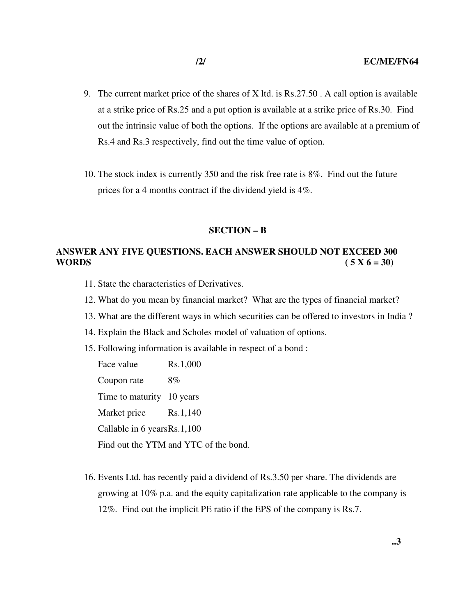- 9. The current market price of the shares of X ltd. is Rs.27.50 . A call option is available at a strike price of Rs.25 and a put option is available at a strike price of Rs.30. Find out the intrinsic value of both the options. If the options are available at a premium of Rs.4 and Rs.3 respectively, find out the time value of option.
- 10. The stock index is currently 350 and the risk free rate is 8%. Find out the future prices for a 4 months contract if the dividend yield is 4%.

#### **SECTION – B**

# **ANSWER ANY FIVE QUESTIONS. EACH ANSWER SHOULD NOT EXCEED 300 WORDS** (  $5 \text{ X } 6 = 30$ )

- 11. State the characteristics of Derivatives.
- 12. What do you mean by financial market? What are the types of financial market?
- 13. What are the different ways in which securities can be offered to investors in India ?
- 14. Explain the Black and Scholes model of valuation of options.
- 15. Following information is available in respect of a bond :

Face value Rs.1,000 Coupon rate 8% Time to maturity 10 years Market price Rs.1,140 Callable in 6 years Rs.1,100 Find out the YTM and YTC of the bond.

16. Events Ltd. has recently paid a dividend of Rs.3.50 per share. The dividends are growing at 10% p.a. and the equity capitalization rate applicable to the company is 12%. Find out the implicit PE ratio if the EPS of the company is Rs.7.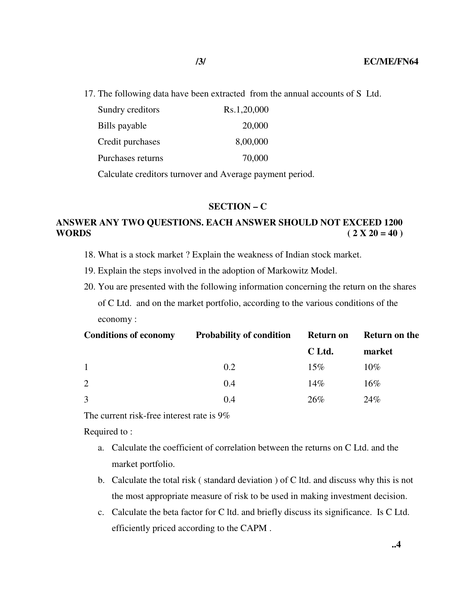17. The following data have been extracted from the annual accounts of S Ltd.

| Sundry creditors  | Rs.1,20,000 |
|-------------------|-------------|
| Bills payable     | 20,000      |
| Credit purchases  | 8,00,000    |
| Purchases returns | 70,000      |
|                   |             |

Calculate creditors turnover and Average payment period.

### **SECTION – C**

# **ANSWER ANY TWO QUESTIONS. EACH ANSWER SHOULD NOT EXCEED 1200 WORDS** (  $2 X 20 = 40$  )

- 18. What is a stock market ? Explain the weakness of Indian stock market.
- 19. Explain the steps involved in the adoption of Markowitz Model.
- 20. You are presented with the following information concerning the return on the shares of C Ltd. and on the market portfolio, according to the various conditions of the economy :

| <b>Conditions of economy</b> | <b>Probability of condition</b> | <b>Return on</b> | <b>Return on the</b> |
|------------------------------|---------------------------------|------------------|----------------------|
|                              |                                 | C Ltd.           | market               |
| $\overline{1}$               | 0.2                             | 15%              | $10\%$               |
| 2                            | 0.4                             | 14%              | $16\%$               |
| 3                            | 0.4                             | 26%              | 24%                  |

The current risk-free interest rate is 9%

Required to :

- a. Calculate the coefficient of correlation between the returns on C Ltd. and the market portfolio.
- b. Calculate the total risk ( standard deviation ) of C ltd. and discuss why this is not the most appropriate measure of risk to be used in making investment decision.
- c. Calculate the beta factor for C ltd. and briefly discuss its significance. Is C Ltd. efficiently priced according to the CAPM .